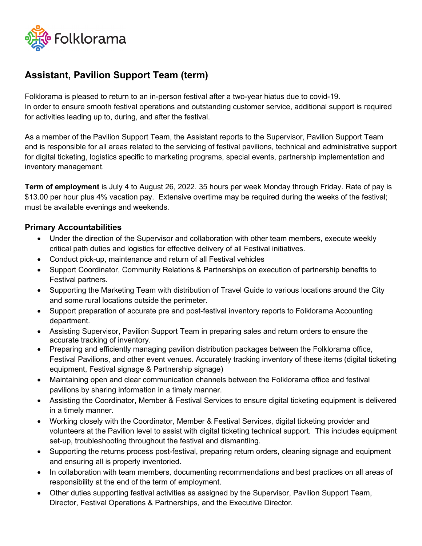

## **Assistant, Pavilion Support Team (term)**

Folklorama is pleased to return to an in-person festival after a two-year hiatus due to covid-19. In order to ensure smooth festival operations and outstanding customer service, additional support is required for activities leading up to, during, and after the festival.

As a member of the Pavilion Support Team, the Assistant reports to the Supervisor, Pavilion Support Team and is responsible for all areas related to the servicing of festival pavilions, technical and administrative support for digital ticketing, logistics specific to marketing programs, special events, partnership implementation and inventory management.

**Term of employment** is July 4 to August 26, 2022. 35 hours per week Monday through Friday. Rate of pay is \$13.00 per hour plus 4% vacation pay. Extensive overtime may be required during the weeks of the festival; must be available evenings and weekends.

## **Primary Accountabilities**

- Under the direction of the Supervisor and collaboration with other team members, execute weekly critical path duties and logistics for effective delivery of all Festival initiatives.
- Conduct pick-up, maintenance and return of all Festival vehicles
- Support Coordinator, Community Relations & Partnerships on execution of partnership benefits to Festival partners.
- Supporting the Marketing Team with distribution of Travel Guide to various locations around the City and some rural locations outside the perimeter.
- Support preparation of accurate pre and post-festival inventory reports to Folklorama Accounting department.
- Assisting Supervisor, Pavilion Support Team in preparing sales and return orders to ensure the accurate tracking of inventory.
- Preparing and efficiently managing pavilion distribution packages between the Folklorama office, Festival Pavilions, and other event venues. Accurately tracking inventory of these items (digital ticketing equipment, Festival signage & Partnership signage)
- Maintaining open and clear communication channels between the Folklorama office and festival pavilions by sharing information in a timely manner.
- Assisting the Coordinator, Member & Festival Services to ensure digital ticketing equipment is delivered in a timely manner.
- Working closely with the Coordinator, Member & Festival Services, digital ticketing provider and volunteers at the Pavilion level to assist with digital ticketing technical support. This includes equipment set-up, troubleshooting throughout the festival and dismantling.
- Supporting the returns process post-festival, preparing return orders, cleaning signage and equipment and ensuring all is properly inventoried.
- In collaboration with team members, documenting recommendations and best practices on all areas of responsibility at the end of the term of employment.
- Other duties supporting festival activities as assigned by the Supervisor, Pavilion Support Team, Director, Festival Operations & Partnerships, and the Executive Director.